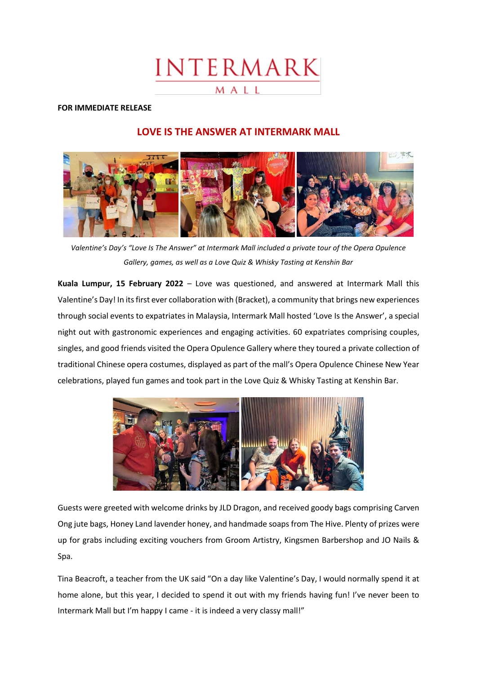# INTERMARK

## MALL

## **FOR IMMEDIATE RELEASE**

## **LOVE IS THE ANSWER AT INTERMARK MALL**



*Valentine's Day's "Love Is The Answer" at Intermark Mall included a private tour of the Opera Opulence Gallery, games, as well as a Love Quiz & Whisky Tasting at Kenshin Bar*

**Kuala Lumpur, 15 February 2022** – Love was questioned, and answered at Intermark Mall this Valentine's Day! In its first ever collaboration with (Bracket), a community that brings new experiences through social events to expatriates in Malaysia, Intermark Mall hosted 'Love Is the Answer', a special night out with gastronomic experiences and engaging activities. 60 expatriates comprising couples, singles, and good friends visited the Opera Opulence Gallery where they toured a private collection of traditional Chinese opera costumes, displayed as part of the mall's Opera Opulence Chinese New Year celebrations, played fun games and took part in the Love Quiz & Whisky Tasting at Kenshin Bar.



Guests were greeted with welcome drinks by JLD Dragon, and received goody bags comprising Carven Ong jute bags, Honey Land lavender honey, and handmade soaps from The Hive. Plenty of prizes were up for grabs including exciting vouchers from Groom Artistry, Kingsmen Barbershop and JO Nails & Spa.

Tina Beacroft, a teacher from the UK said "On a day like Valentine's Day, I would normally spend it at home alone, but this year, I decided to spend it out with my friends having fun! I've never been to Intermark Mall but I'm happy I came - it is indeed a very classy mall!"